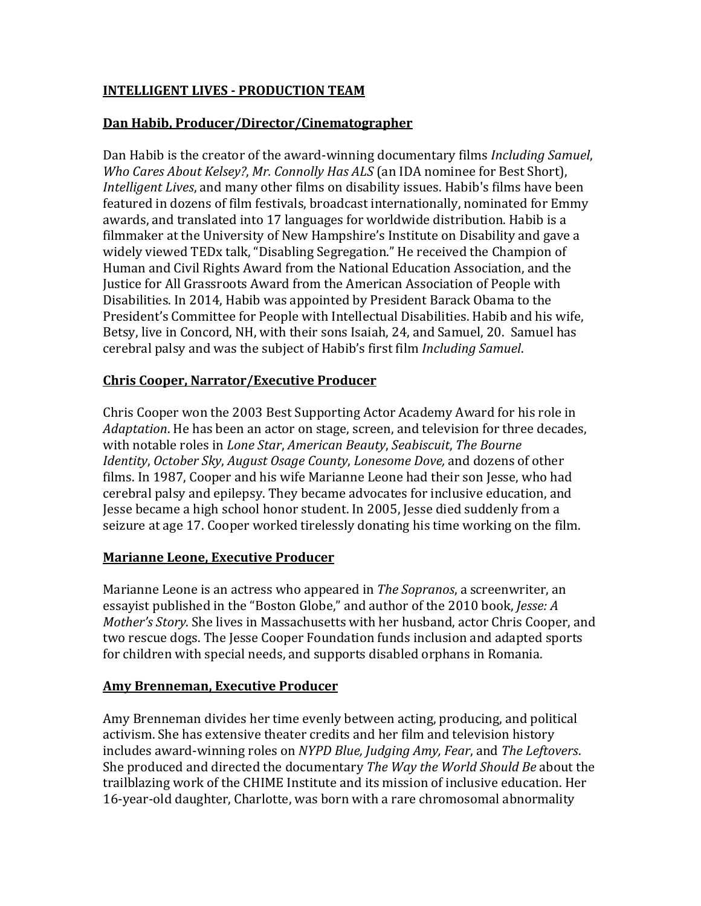## **INTELLIGENT LIVES - PRODUCTION TEAM**

#### **Dan Habib, Producer/Director/Cinematographer**

Dan Habib is the creator of the award-winning documentary films *Including Samuel*, *Who Cares About Kelsey?*, *Mr. Connolly Has ALS* (an IDA nominee for Best Short), *Intelligent Lives*, and many other films on disability issues. Habib's films have been featured in dozens of film festivals, broadcast internationally, nominated for Emmy awards, and translated into 17 languages for worldwide distribution. Habib is a filmmaker at the University of New Hampshire's Institute on Disability and gave a widely viewed TEDx talk, "Disabling Segregation." He received the Champion of Human and Civil Rights Award from the National Education Association, and the Justice for All Grassroots Award from the American Association of People with Disabilities. In 2014, Habib was appointed by President Barack Obama to the President's Committee for People with Intellectual Disabilities. Habib and his wife, Betsy, live in Concord, NH, with their sons Isaiah, 24, and Samuel, 20. Samuel has cerebral palsy and was the subject of Habib's first film *Including Samuel*.

### **Chris Cooper, Narrator/Executive Producer**

Chris Cooper won the 2003 Best Supporting Actor Academy Award for his role in *Adaptation*. He has been an actor on stage, screen, and television for three decades, with notable roles in *Lone Star*, *American Beauty*, *Seabiscuit*, *The Bourne Identity*, *October Sky*, *August Osage County*, *Lonesome Dove,* and dozens of other films. In 1987, Cooper and his wife Marianne Leone had their son Jesse, who had cerebral palsy and epilepsy. They became advocates for inclusive education, and Jesse became a high school honor student. In 2005, Jesse died suddenly from a seizure at age 17. Cooper worked tirelessly donating his time working on the film.

#### **Marianne Leone, Executive Producer**

Marianne Leone is an actress who appeared in *The Sopranos*, a screenwriter, an essayist published in the "Boston Globe," and author of the 2010 book, *Jesse: A Mother's Story*. She lives in Massachusetts with her husband, actor Chris Cooper, and two rescue dogs. The Jesse Cooper Foundation funds inclusion and adapted sports for children with special needs, and supports disabled orphans in Romania.

### **Amy Brenneman, Executive Producer**

Amy Brenneman divides her time evenly between acting, producing, and political activism. She has extensive theater credits and her film and television history includes award-winning roles on *NYPD Blue, Judging Amy, Fear*, and *The Leftovers*. She produced and directed the documentary *The Way the World Should Be* about the trailblazing work of the CHIME Institute and its mission of inclusive education. Her 16-year-old daughter, Charlotte, was born with a rare chromosomal abnormality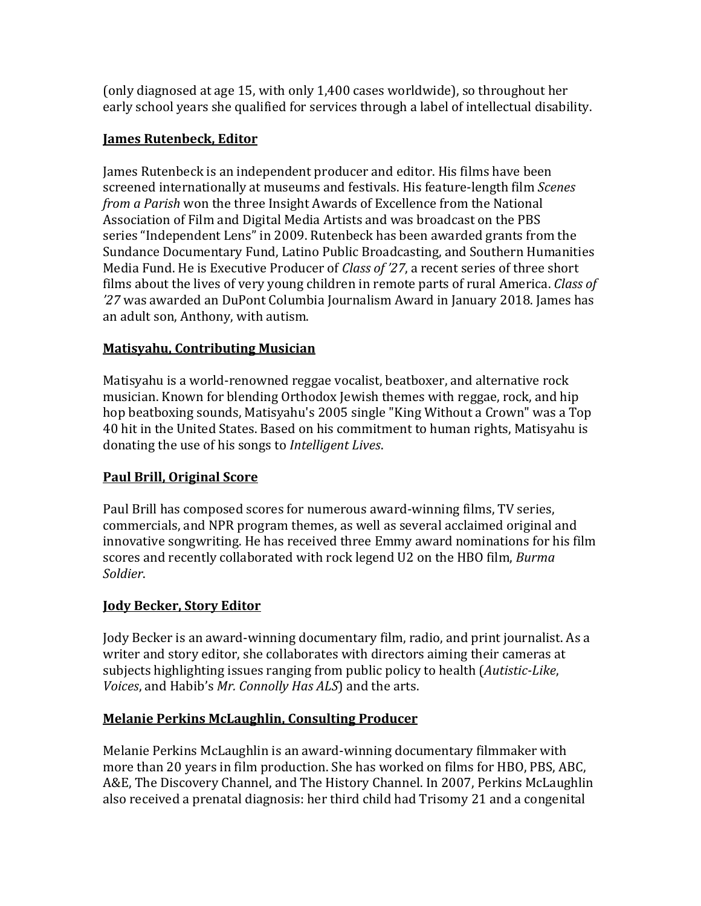(only diagnosed at age 15, with only 1,400 cases worldwide), so throughout her early school years she qualified for services through a label of intellectual disability.

# **James Rutenbeck, Editor**

James Rutenbeck is an independent producer and editor. His films have been screened internationally at museums and festivals. His feature-length film *Scenes from a Parish* won the three Insight Awards of Excellence from the National Association of Film and Digital Media Artists and was broadcast on the PBS series "Independent Lens" in 2009. Rutenbeck has been awarded grants from the Sundance Documentary Fund, Latino Public Broadcasting, and Southern Humanities Media Fund. He is Executive Producer of *Class of '27*, a recent series of three short films about the lives of very young children in remote parts of rural America. *Class of '27* was awarded an DuPont Columbia Journalism Award in January 2018. James has an adult son, Anthony, with autism.

### **Matisyahu, Contributing Musician**

Matisyahu is a world-renowned reggae vocalist, beatboxer, and alternative rock musician. Known for blending Orthodox Jewish themes with reggae, rock, and hip hop beatboxing sounds, Matisyahu's 2005 single "King Without a Crown" was a Top 40 hit in the United States. Based on his commitment to human rights, Matisyahu is donating the use of his songs to *Intelligent Lives*.

# **Paul Brill, Original Score**

Paul Brill has composed scores for numerous award-winning films, TV series, commercials, and NPR program themes, as well as several acclaimed original and innovative songwriting. He has received three Emmy award nominations for his film scores and recently collaborated with rock legend U2 on the HBO film, *Burma Soldier*.

### **Jody Becker, Story Editor**

Jody Becker is an award-winning documentary film, radio, and print journalist. As a writer and story editor, she collaborates with directors aiming their cameras at subjects highlighting issues ranging from public policy to health (*Autistic-Like*, *Voices*, and Habib's *Mr. Connolly Has ALS*) and the arts.

### **Melanie Perkins McLaughlin, Consulting Producer**

Melanie Perkins McLaughlin is an award-winning documentary filmmaker with more than 20 years in film production. She has worked on films for HBO, PBS, ABC, A&E, The Discovery Channel, and The History Channel. In 2007, Perkins McLaughlin also received a prenatal diagnosis: her third child had Trisomy 21 and a congenital